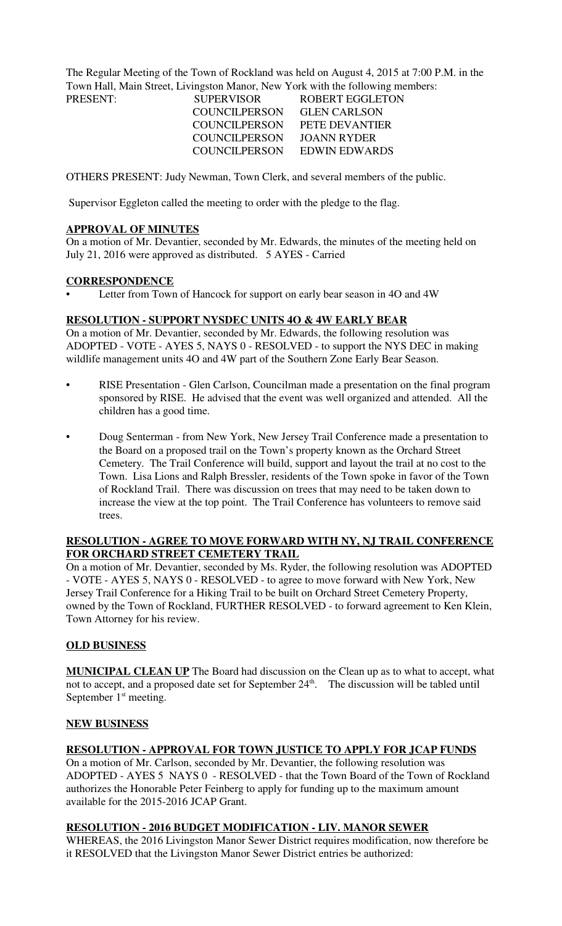The Regular Meeting of the Town of Rockland was held on August 4, 2015 at 7:00 P.M. in the Town Hall, Main Street, Livingston Manor, New York with the following members:

| PRESENT: | <b>SUPERVISOR</b>    | ROBERT EGGLETON     |
|----------|----------------------|---------------------|
|          | <b>COUNCILPERSON</b> | <b>GLEN CARLSON</b> |
|          | <b>COUNCILPERSON</b> | PETE DEVANTIER      |
|          | COUNCIL PERSON       | JOANN RYDER         |
|          | COUNCIL PERSON       | EDWIN EDWARDS       |
|          |                      |                     |

OTHERS PRESENT: Judy Newman, Town Clerk, and several members of the public.

Supervisor Eggleton called the meeting to order with the pledge to the flag.

## **APPROVAL OF MINUTES**

On a motion of Mr. Devantier, seconded by Mr. Edwards, the minutes of the meeting held on July 21, 2016 were approved as distributed. 5 AYES - Carried

## **CORRESPONDENCE**

Letter from Town of Hancock for support on early bear season in 4O and 4W

## **RESOLUTION - SUPPORT NYSDEC UNITS 4O & 4W EARLY BEAR**

On a motion of Mr. Devantier, seconded by Mr. Edwards, the following resolution was ADOPTED - VOTE - AYES 5, NAYS 0 - RESOLVED - to support the NYS DEC in making wildlife management units 4O and 4W part of the Southern Zone Early Bear Season.

- RISE Presentation Glen Carlson, Councilman made a presentation on the final program sponsored by RISE. He advised that the event was well organized and attended. All the children has a good time.
- Doug Senterman from New York, New Jersey Trail Conference made a presentation to the Board on a proposed trail on the Town's property known as the Orchard Street Cemetery. The Trail Conference will build, support and layout the trail at no cost to the Town. Lisa Lions and Ralph Bressler, residents of the Town spoke in favor of the Town of Rockland Trail. There was discussion on trees that may need to be taken down to increase the view at the top point. The Trail Conference has volunteers to remove said trees.

## **RESOLUTION - AGREE TO MOVE FORWARD WITH NY, NJ TRAIL CONFERENCE FOR ORCHARD STREET CEMETERY TRAIL**

On a motion of Mr. Devantier, seconded by Ms. Ryder, the following resolution was ADOPTED - VOTE - AYES 5, NAYS 0 - RESOLVED - to agree to move forward with New York, New Jersey Trail Conference for a Hiking Trail to be built on Orchard Street Cemetery Property, owned by the Town of Rockland, FURTHER RESOLVED - to forward agreement to Ken Klein, Town Attorney for his review.

# **OLD BUSINESS**

**MUNICIPAL CLEAN UP** The Board had discussion on the Clean up as to what to accept, what not to accept, and a proposed date set for September 24<sup>th</sup>. The discussion will be tabled until September 1<sup>st</sup> meeting.

## **NEW BUSINESS**

# **RESOLUTION - APPROVAL FOR TOWN JUSTICE TO APPLY FOR JCAP FUNDS**

On a motion of Mr. Carlson, seconded by Mr. Devantier, the following resolution was ADOPTED - AYES 5 NAYS 0 - RESOLVED - that the Town Board of the Town of Rockland authorizes the Honorable Peter Feinberg to apply for funding up to the maximum amount available for the 2015-2016 JCAP Grant.

## **RESOLUTION - 2016 BUDGET MODIFICATION - LIV. MANOR SEWER**

WHEREAS, the 2016 Livingston Manor Sewer District requires modification, now therefore be it RESOLVED that the Livingston Manor Sewer District entries be authorized: